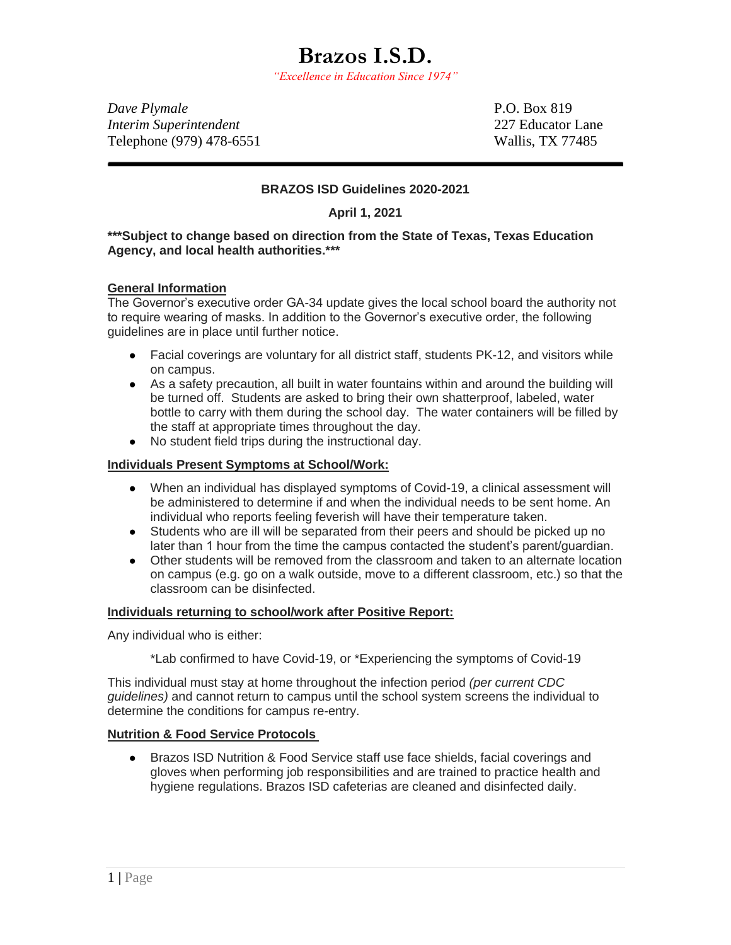*"Excellence in Education Since 1974"*

*Dave Plymale* P.O. Box 819 *Interim Superintendent* 227 Educator Lane Telephone (979) 478-6551 Wallis, TX 77485

## **BRAZOS ISD Guidelines 2020-2021**

**April 1, 2021**

### **\*\*\*Subject to change based on direction from the State of Texas, Texas Education Agency, and local health authorities.\*\*\***

### **[General Information](http://www.katyisd.org/returntoschool/Pages/SafetyProtocols.aspx)**

The Governor's executive order GA-34 update gives the local school board the authority not to require wearing of masks. In addition to the Governor's executive order, the following guidelines are in place until further notice.

- Facial coverings are voluntary for all district staff, students PK-12, and visitors while on campus.
- As a safety precaution, all built in water fountains within and around the building will be turned off. Students are asked to bring their own shatterproof, labeled, water bottle to carry with them during the school day. The water containers will be filled by the staff at appropriate times throughout the day.
- No student field trips during the instructional day.

#### **Individuals Present Symptoms at School/Work:**

- When an individual has displayed symptoms of Covid-19, a clinical assessment will be administered to determine if and when the individual needs to be sent home. An individual who reports feeling feverish will have their temperature taken.
- Students who are ill will be separated from their peers and should be picked up no later than 1 hour from the time the campus contacted the student's parent/guardian.
- Other students will be removed from the classroom and taken to an alternate location on campus (e.g. go on a walk outside, move to a different classroom, etc.) so that the classroom can be disinfected.

#### **Individuals returning to school/work after Positive Report:**

Any individual who is either:

\*Lab confirmed to have Covid-19, or \*Experiencing the symptoms of Covid-19

This individual must stay at home throughout the infection period *(per current CDC guidelines)* and cannot return to campus until the school system screens the individual to determine the conditions for campus re-entry.

### **Nutrition & Food Service Protocols**

● Brazos ISD Nutrition & Food Service staff use face shields, facial coverings and gloves when performing job responsibilities and are trained to practice health and hygiene regulations. Brazos ISD cafeterias are cleaned and disinfected daily.